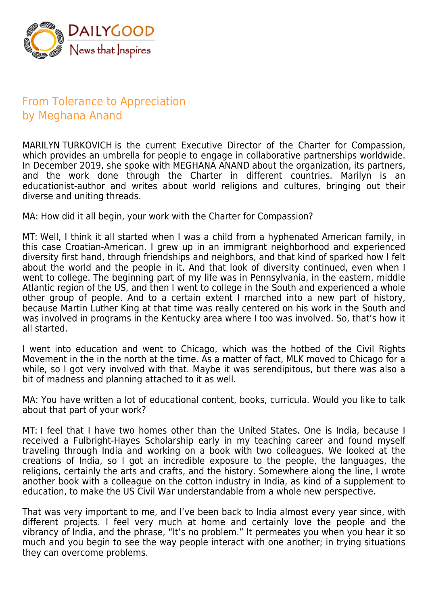

## From Tolerance to Appreciation by Meghana Anand

MARILYN TURKOVICH is the current Executive Director of the Charter for Compassion, which provides an umbrella for people to engage in collaborative partnerships worldwide. In December 2019, she spoke with MEGHANA ANAND about the organization, its partners, and the work done through the Charter in different countries. Marilyn is an educationist-author and writes about world religions and cultures, bringing out their diverse and uniting threads.

MA: How did it all begin, your work with the Charter for Compassion?

MT: Well, I think it all started when I was a child from a hyphenated American family, in this case Croatian-American. I grew up in an immigrant neighborhood and experienced diversity first hand, through friendships and neighbors, and that kind of sparked how I felt about the world and the people in it. And that look of diversity continued, even when I went to college. The beginning part of my life was in Pennsylvania, in the eastern, middle Atlantic region of the US, and then I went to college in the South and experienced a whole other group of people. And to a certain extent I marched into a new part of history, because Martin Luther King at that time was really centered on his work in the South and was involved in programs in the Kentucky area where I too was involved. So, that's how it all started.

I went into education and went to Chicago, which was the hotbed of the Civil Rights Movement in the in the north at the time. As a matter of fact, MLK moved to Chicago for a while, so I got very involved with that. Maybe it was serendipitous, but there was also a bit of madness and planning attached to it as well.

MA: You have written a lot of educational content, books, curricula. Would you like to talk about that part of your work?

MT: I feel that I have two homes other than the United States. One is India, because I received a Fulbright-Hayes Scholarship early in my teaching career and found myself traveling through India and working on a book with two colleagues. We looked at the creations of India, so I got an incredible exposure to the people, the languages, the religions, certainly the arts and crafts, and the history. Somewhere along the line, I wrote another book with a colleague on the cotton industry in India, as kind of a supplement to education, to make the US Civil War understandable from a whole new perspective.

That was very important to me, and I've been back to India almost every year since, with different projects. I feel very much at home and certainly love the people and the vibrancy of India, and the phrase, "It's no problem." It permeates you when you hear it so much and you begin to see the way people interact with one another; in trying situations they can overcome problems.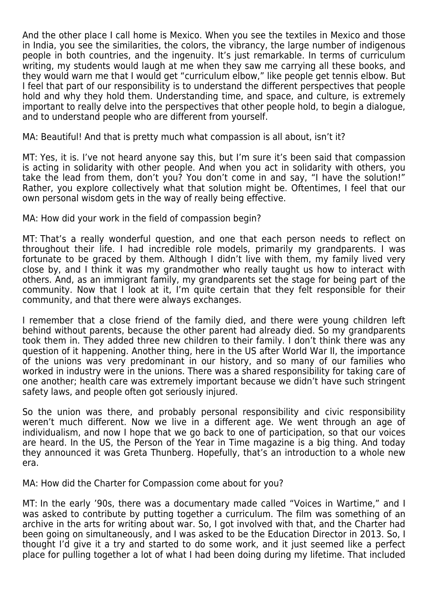And the other place I call home is Mexico. When you see the textiles in Mexico and those in India, you see the similarities, the colors, the vibrancy, the large number of indigenous people in both countries, and the ingenuity. It's just remarkable. In terms of curriculum writing, my students would laugh at me when they saw me carrying all these books, and they would warn me that I would get "curriculum elbow," like people get tennis elbow. But I feel that part of our responsibility is to understand the different perspectives that people hold and why they hold them. Understanding time, and space, and culture, is extremely important to really delve into the perspectives that other people hold, to begin a dialogue, and to understand people who are different from yourself.

MA: Beautiful! And that is pretty much what compassion is all about, isn't it?

MT: Yes, it is. I've not heard anyone say this, but I'm sure it's been said that compassion is acting in solidarity with other people. And when you act in solidarity with others, you take the lead from them, don't you? You don't come in and say, "I have the solution!" Rather, you explore collectively what that solution might be. Oftentimes, I feel that our own personal wisdom gets in the way of really being effective.

MA: How did your work in the field of compassion begin?

MT: That's a really wonderful question, and one that each person needs to reflect on throughout their life. I had incredible role models, primarily my grandparents. I was fortunate to be graced by them. Although I didn't live with them, my family lived very close by, and I think it was my grandmother who really taught us how to interact with others. And, as an immigrant family, my grandparents set the stage for being part of the community. Now that I look at it, I'm quite certain that they felt responsible for their community, and that there were always exchanges.

I remember that a close friend of the family died, and there were young children left behind without parents, because the other parent had already died. So my grandparents took them in. They added three new children to their family. I don't think there was any question of it happening. Another thing, here in the US after World War II, the importance of the unions was very predominant in our history, and so many of our families who worked in industry were in the unions. There was a shared responsibility for taking care of one another; health care was extremely important because we didn't have such stringent safety laws, and people often got seriously injured.

So the union was there, and probably personal responsibility and civic responsibility weren't much different. Now we live in a different age. We went through an age of individualism, and now I hope that we go back to one of participation, so that our voices are heard. In the US, the Person of the Year in Time magazine is a big thing. And today they announced it was Greta Thunberg. Hopefully, that's an introduction to a whole new era.

MA: How did the Charter for Compassion come about for you?

MT: In the early '90s, there was a documentary made called "Voices in Wartime," and I was asked to contribute by putting together a curriculum. The film was something of an archive in the arts for writing about war. So, I got involved with that, and the Charter had been going on simultaneously, and I was asked to be the Education Director in 2013. So, I thought I'd give it a try and started to do some work, and it just seemed like a perfect place for pulling together a lot of what I had been doing during my lifetime. That included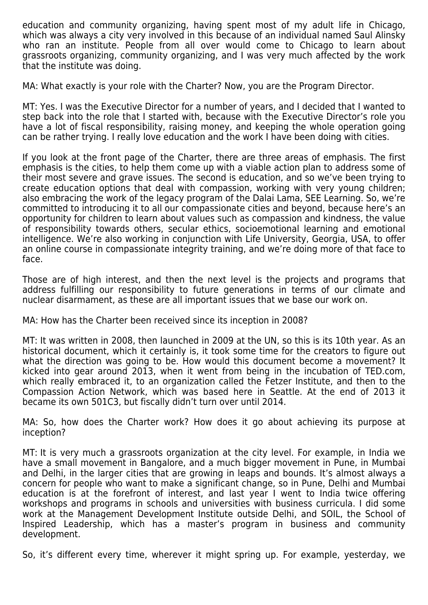education and community organizing, having spent most of my adult life in Chicago, which was always a city very involved in this because of an individual named Saul Alinsky who ran an institute. People from all over would come to Chicago to learn about grassroots organizing, community organizing, and I was very much affected by the work that the institute was doing.

MA: What exactly is your role with the Charter? Now, you are the Program Director.

MT: Yes. I was the Executive Director for a number of years, and I decided that I wanted to step back into the role that I started with, because with the Executive Director's role you have a lot of fiscal responsibility, raising money, and keeping the whole operation going can be rather trying. I really love education and the work I have been doing with cities.

If you look at the front page of the Charter, there are three areas of emphasis. The first emphasis is the cities, to help them come up with a viable action plan to address some of their most severe and grave issues. The second is education, and so we've been trying to create education options that deal with compassion, working with very young children; also embracing the work of the legacy program of the Dalai Lama, SEE Learning. So, we're committed to introducing it to all our compassionate cities and beyond, because here's an opportunity for children to learn about values such as compassion and kindness, the value of responsibility towards others, secular ethics, socioemotional learning and emotional intelligence. We're also working in conjunction with Life University, Georgia, USA, to offer an online course in compassionate integrity training, and we're doing more of that face to face.

Those are of high interest, and then the next level is the projects and programs that address fulfilling our responsibility to future generations in terms of our climate and nuclear disarmament, as these are all important issues that we base our work on.

MA: How has the Charter been received since its inception in 2008?

MT: It was written in 2008, then launched in 2009 at the UN, so this is its 10th year. As an historical document, which it certainly is, it took some time for the creators to figure out what the direction was going to be. How would this document become a movement? It kicked into gear around 2013, when it went from being in the incubation of TED.com, which really embraced it, to an organization called the Fetzer Institute, and then to the Compassion Action Network, which was based here in Seattle. At the end of 2013 it became its own 501C3, but fiscally didn't turn over until 2014.

MA: So, how does the Charter work? How does it go about achieving its purpose at inception?

MT: It is very much a grassroots organization at the city level. For example, in India we have a small movement in Bangalore, and a much bigger movement in Pune, in Mumbai and Delhi, in the larger cities that are growing in leaps and bounds. It's almost always a concern for people who want to make a significant change, so in Pune, Delhi and Mumbai education is at the forefront of interest, and last year I went to India twice offering workshops and programs in schools and universities with business curricula. I did some work at the Management Development Institute outside Delhi, and SOIL, the School of Inspired Leadership, which has a master's program in business and community development.

So, it's different every time, wherever it might spring up. For example, yesterday, we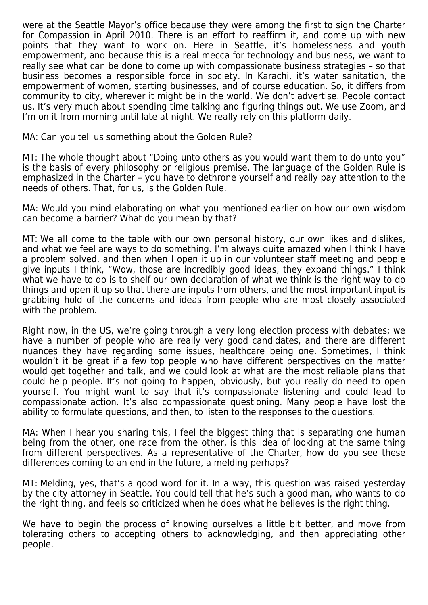were at the Seattle Mayor's office because they were among the first to sign the Charter for Compassion in April 2010. There is an effort to reaffirm it, and come up with new points that they want to work on. Here in Seattle, it's homelessness and youth empowerment, and because this is a real mecca for technology and business, we want to really see what can be done to come up with compassionate business strategies – so that business becomes a responsible force in society. In Karachi, it's water sanitation, the empowerment of women, starting businesses, and of course education. So, it differs from community to city, wherever it might be in the world. We don't advertise. People contact us. It's very much about spending time talking and figuring things out. We use Zoom, and I'm on it from morning until late at night. We really rely on this platform daily.

MA: Can you tell us something about the Golden Rule?

MT: The whole thought about "Doing unto others as you would want them to do unto you" is the basis of every philosophy or religious premise. The language of the Golden Rule is emphasized in the Charter – you have to dethrone yourself and really pay attention to the needs of others. That, for us, is the Golden Rule.

MA: Would you mind elaborating on what you mentioned earlier on how our own wisdom can become a barrier? What do you mean by that?

MT: We all come to the table with our own personal history, our own likes and dislikes, and what we feel are ways to do something. I'm always quite amazed when I think I have a problem solved, and then when I open it up in our volunteer staff meeting and people give inputs I think, "Wow, those are incredibly good ideas, they expand things." I think what we have to do is to shelf our own declaration of what we think is the right way to do things and open it up so that there are inputs from others, and the most important input is grabbing hold of the concerns and ideas from people who are most closely associated with the problem.

Right now, in the US, we're going through a very long election process with debates; we have a number of people who are really very good candidates, and there are different nuances they have regarding some issues, healthcare being one. Sometimes, I think wouldn't it be great if a few top people who have different perspectives on the matter would get together and talk, and we could look at what are the most reliable plans that could help people. It's not going to happen, obviously, but you really do need to open yourself. You might want to say that it's compassionate listening and could lead to compassionate action. It's also compassionate questioning. Many people have lost the ability to formulate questions, and then, to listen to the responses to the questions.

MA: When I hear you sharing this, I feel the biggest thing that is separating one human being from the other, one race from the other, is this idea of looking at the same thing from different perspectives. As a representative of the Charter, how do you see these differences coming to an end in the future, a melding perhaps?

MT: Melding, yes, that's a good word for it. In a way, this question was raised yesterday by the city attorney in Seattle. You could tell that he's such a good man, who wants to do the right thing, and feels so criticized when he does what he believes is the right thing.

We have to begin the process of knowing ourselves a little bit better, and move from tolerating others to accepting others to acknowledging, and then appreciating other people.